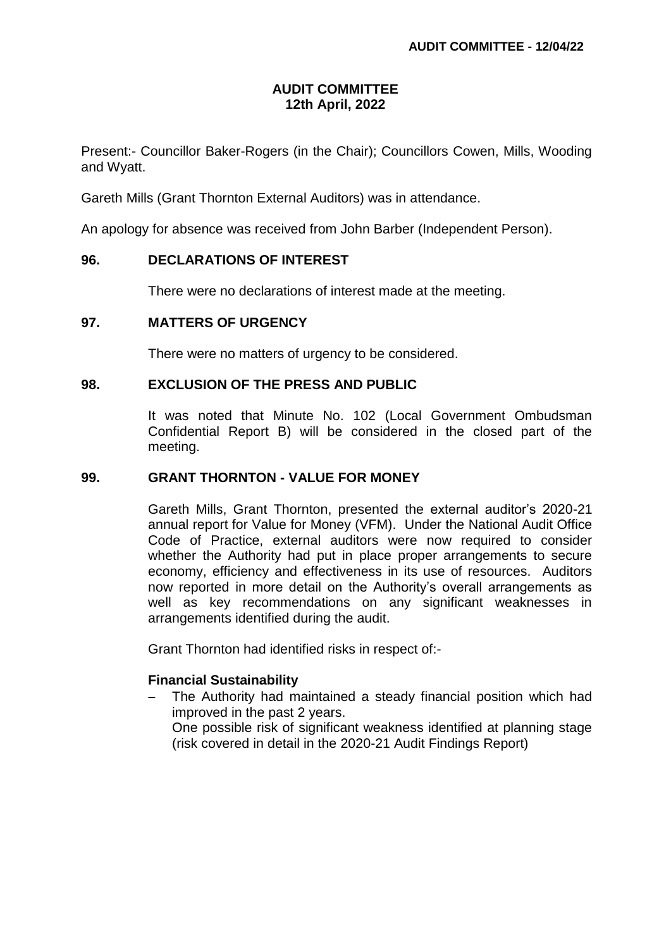## **AUDIT COMMITTEE 12th April, 2022**

Present:- Councillor Baker-Rogers (in the Chair); Councillors Cowen, Mills, Wooding and Wyatt.

Gareth Mills (Grant Thornton External Auditors) was in attendance.

An apology for absence was received from John Barber (Independent Person).

#### **96. DECLARATIONS OF INTEREST**

There were no declarations of interest made at the meeting.

# **97. MATTERS OF URGENCY**

There were no matters of urgency to be considered.

#### **98. EXCLUSION OF THE PRESS AND PUBLIC**

It was noted that Minute No. 102 (Local Government Ombudsman Confidential Report B) will be considered in the closed part of the meeting.

#### **99. GRANT THORNTON - VALUE FOR MONEY**

Gareth Mills, Grant Thornton, presented the external auditor's 2020-21 annual report for Value for Money (VFM). Under the National Audit Office Code of Practice, external auditors were now required to consider whether the Authority had put in place proper arrangements to secure economy, efficiency and effectiveness in its use of resources. Auditors now reported in more detail on the Authority's overall arrangements as well as key recommendations on any significant weaknesses in arrangements identified during the audit.

Grant Thornton had identified risks in respect of:-

## **Financial Sustainability**

 The Authority had maintained a steady financial position which had improved in the past 2 years.

One possible risk of significant weakness identified at planning stage (risk covered in detail in the 2020-21 Audit Findings Report)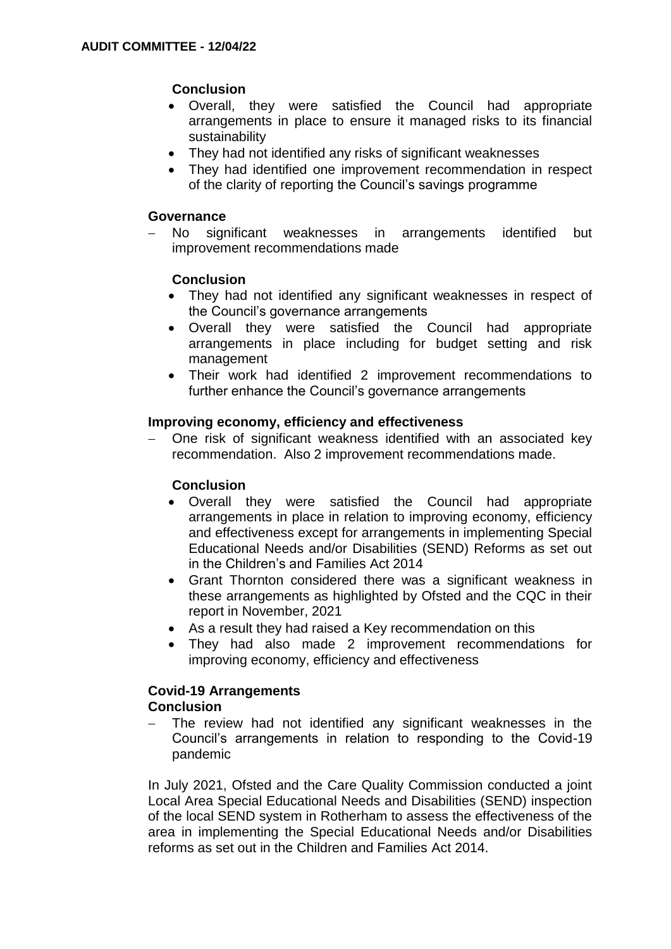# **Conclusion**

- Overall, they were satisfied the Council had appropriate arrangements in place to ensure it managed risks to its financial sustainability
- They had not identified any risks of significant weaknesses
- They had identified one improvement recommendation in respect of the clarity of reporting the Council's savings programme

### **Governance**

 No significant weaknesses in arrangements identified but improvement recommendations made

#### **Conclusion**

- They had not identified any significant weaknesses in respect of the Council's governance arrangements
- Overall they were satisfied the Council had appropriate arrangements in place including for budget setting and risk management
- Their work had identified 2 improvement recommendations to further enhance the Council's governance arrangements

#### **Improving economy, efficiency and effectiveness**

 One risk of significant weakness identified with an associated key recommendation. Also 2 improvement recommendations made.

## **Conclusion**

- Overall they were satisfied the Council had appropriate arrangements in place in relation to improving economy, efficiency and effectiveness except for arrangements in implementing Special Educational Needs and/or Disabilities (SEND) Reforms as set out in the Children's and Families Act 2014
- Grant Thornton considered there was a significant weakness in these arrangements as highlighted by Ofsted and the CQC in their report in November, 2021
- As a result they had raised a Key recommendation on this
- They had also made 2 improvement recommendations for improving economy, efficiency and effectiveness

### **Covid-19 Arrangements Conclusion**

 The review had not identified any significant weaknesses in the Council's arrangements in relation to responding to the Covid-19 pandemic

In July 2021, Ofsted and the Care Quality Commission conducted a joint Local Area Special Educational Needs and Disabilities (SEND) inspection of the local SEND system in Rotherham to assess the effectiveness of the area in implementing the Special Educational Needs and/or Disabilities reforms as set out in the Children and Families Act 2014.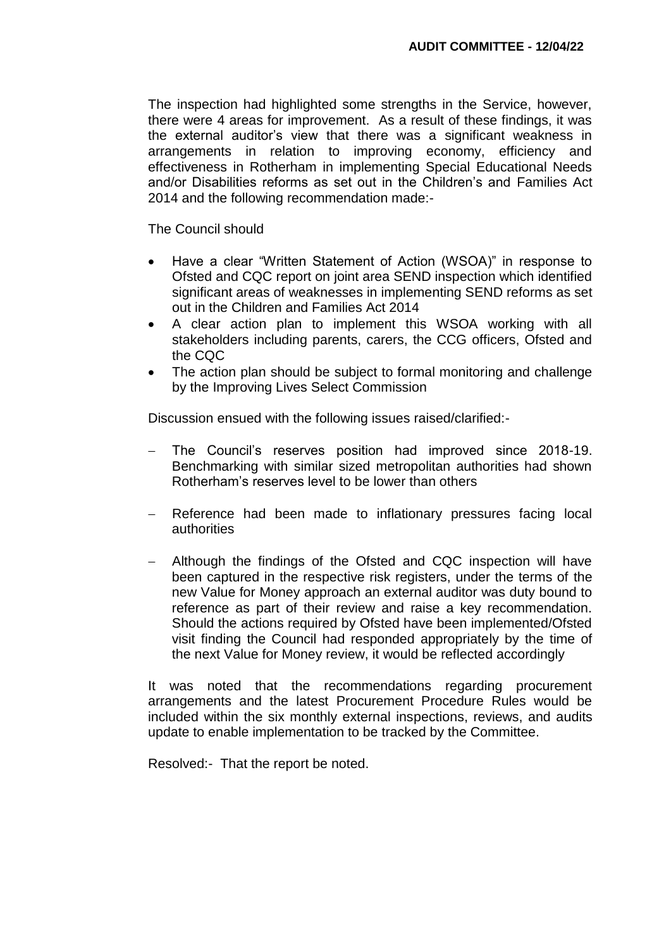The inspection had highlighted some strengths in the Service, however, there were 4 areas for improvement. As a result of these findings, it was the external auditor's view that there was a significant weakness in arrangements in relation to improving economy, efficiency and effectiveness in Rotherham in implementing Special Educational Needs and/or Disabilities reforms as set out in the Children's and Families Act 2014 and the following recommendation made:-

The Council should

- Have a clear "Written Statement of Action (WSOA)" in response to Ofsted and CQC report on joint area SEND inspection which identified significant areas of weaknesses in implementing SEND reforms as set out in the Children and Families Act 2014
- A clear action plan to implement this WSOA working with all stakeholders including parents, carers, the CCG officers, Ofsted and the CQC
- The action plan should be subject to formal monitoring and challenge by the Improving Lives Select Commission

Discussion ensued with the following issues raised/clarified:-

- The Council's reserves position had improved since 2018-19. Benchmarking with similar sized metropolitan authorities had shown Rotherham's reserves level to be lower than others
- Reference had been made to inflationary pressures facing local authorities
- Although the findings of the Ofsted and CQC inspection will have been captured in the respective risk registers, under the terms of the new Value for Money approach an external auditor was duty bound to reference as part of their review and raise a key recommendation. Should the actions required by Ofsted have been implemented/Ofsted visit finding the Council had responded appropriately by the time of the next Value for Money review, it would be reflected accordingly

It was noted that the recommendations regarding procurement arrangements and the latest Procurement Procedure Rules would be included within the six monthly external inspections, reviews, and audits update to enable implementation to be tracked by the Committee.

Resolved:- That the report be noted.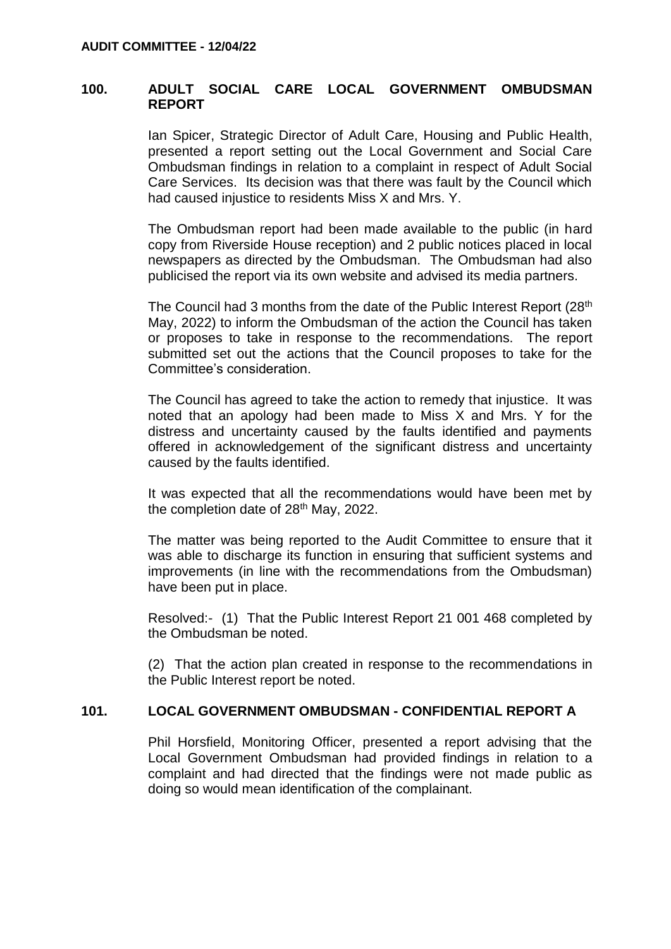### **100. ADULT SOCIAL CARE LOCAL GOVERNMENT OMBUDSMAN REPORT**

Ian Spicer, Strategic Director of Adult Care, Housing and Public Health, presented a report setting out the Local Government and Social Care Ombudsman findings in relation to a complaint in respect of Adult Social Care Services. Its decision was that there was fault by the Council which had caused injustice to residents Miss X and Mrs. Y.

The Ombudsman report had been made available to the public (in hard copy from Riverside House reception) and 2 public notices placed in local newspapers as directed by the Ombudsman. The Ombudsman had also publicised the report via its own website and advised its media partners.

The Council had 3 months from the date of the Public Interest Report (28<sup>th</sup>) May, 2022) to inform the Ombudsman of the action the Council has taken or proposes to take in response to the recommendations. The report submitted set out the actions that the Council proposes to take for the Committee's consideration.

The Council has agreed to take the action to remedy that injustice. It was noted that an apology had been made to Miss X and Mrs. Y for the distress and uncertainty caused by the faults identified and payments offered in acknowledgement of the significant distress and uncertainty caused by the faults identified.

It was expected that all the recommendations would have been met by the completion date of  $28<sup>th</sup>$  May, 2022.

The matter was being reported to the Audit Committee to ensure that it was able to discharge its function in ensuring that sufficient systems and improvements (in line with the recommendations from the Ombudsman) have been put in place.

Resolved:- (1) That the Public Interest Report 21 001 468 completed by the Ombudsman be noted.

(2) That the action plan created in response to the recommendations in the Public Interest report be noted.

## **101. LOCAL GOVERNMENT OMBUDSMAN - CONFIDENTIAL REPORT A**

Phil Horsfield, Monitoring Officer, presented a report advising that the Local Government Ombudsman had provided findings in relation to a complaint and had directed that the findings were not made public as doing so would mean identification of the complainant.